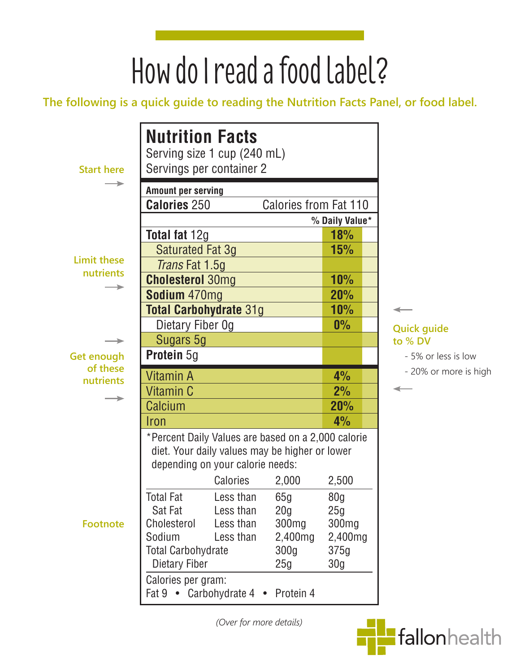# How do I read a food label?

**The following is a quick guide to reading the Nutrition Facts Panel, or food label.**

| <b>Start here</b>     | <b>Nutrition Facts</b><br>Serving size 1 cup (240 mL)<br>Servings per container 2                                                        |                  |                   |                 |  |
|-----------------------|------------------------------------------------------------------------------------------------------------------------------------------|------------------|-------------------|-----------------|--|
|                       | <b>Amount per serving</b>                                                                                                                |                  |                   |                 |  |
|                       | <b>Calories 250</b><br><b>Calories from Fat 110</b>                                                                                      |                  |                   |                 |  |
|                       |                                                                                                                                          |                  |                   | % Daily Value*  |  |
|                       | Total fat 12g                                                                                                                            |                  | 18%               |                 |  |
| <b>Limit these</b>    | Saturated Fat 3g                                                                                                                         |                  |                   | <b>15%</b>      |  |
| nutrients             | Trans Fat 1.5g                                                                                                                           |                  |                   |                 |  |
|                       | <b>Cholesterol 30mg</b>                                                                                                                  |                  |                   | <b>10%</b>      |  |
|                       | Sodium 470mg                                                                                                                             |                  |                   | <b>20%</b>      |  |
|                       | <b>Total Carbohydrate 31g</b>                                                                                                            |                  |                   | 10%             |  |
|                       | Dietary Fiber Og                                                                                                                         |                  |                   | $0\%$           |  |
|                       | Sugars 5g                                                                                                                                |                  |                   |                 |  |
| <b>Get enough</b>     | Protein 5g                                                                                                                               |                  |                   |                 |  |
| of these<br>nutrients | <b>Vitamin A</b>                                                                                                                         |                  |                   | 4%              |  |
|                       | Vitamin C                                                                                                                                |                  |                   | 2%              |  |
|                       | <b>Calcium</b>                                                                                                                           |                  |                   | <b>20%</b>      |  |
|                       | Iron                                                                                                                                     |                  |                   | 4%              |  |
|                       | *Percent Daily Values are based on a 2,000 calorie<br>diet. Your daily values may be higher or lower<br>depending on your calorie needs: |                  |                   |                 |  |
|                       |                                                                                                                                          | Calories         | 2,000             | 2,500           |  |
| <b>Footnote</b>       | <b>Total Fat</b>                                                                                                                         | Less than        | 65g               | 80 <sub>g</sub> |  |
|                       | Sat Fat                                                                                                                                  | Less than        | 20 <sub>g</sub>   | 25g             |  |
|                       | Cholesterol<br>Less than                                                                                                                 |                  | 300 <sub>mg</sub> | 300mg           |  |
|                       | Sodium<br>Less than<br>2,400mg                                                                                                           |                  | 2,400mg           |                 |  |
|                       | <b>Total Carbohydrate</b><br>300 <sub>g</sub>                                                                                            |                  |                   | 375g            |  |
|                       | Dietary Fiber<br>25g                                                                                                                     |                  |                   | 30 <sub>g</sub> |  |
|                       | Calories per gram:<br>Fat 9                                                                                                              | • Carbohydrate 4 | Protein 4         |                 |  |

*(Over for more details)*

**Quick guide to % DV**

◢

- 5% or less is low

- 20% or more is high